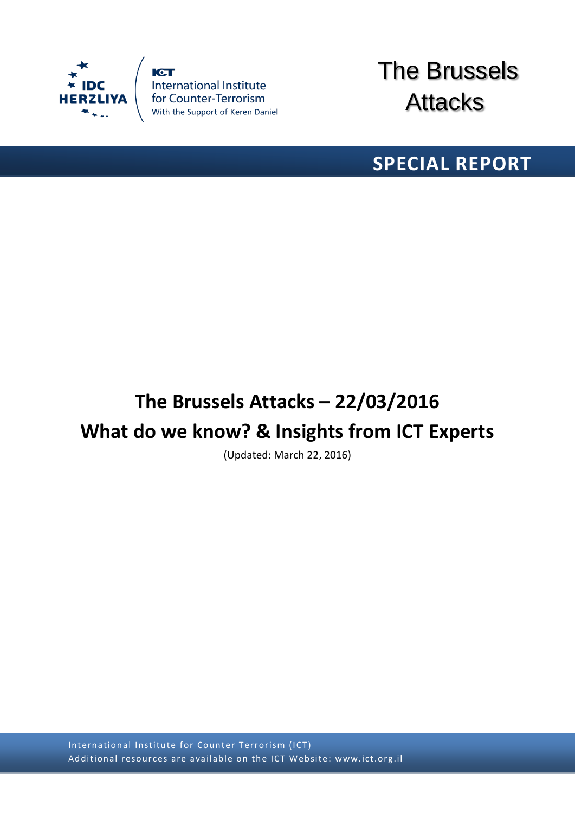

**ICT** International Institute<br>for Counter-Terrorism<br>With the Support of Keren Daniel



# **SPECIAL REPORT**

# **The Brussels Attacks – 22/03/2016 What do we know? & Insights from ICT Experts**

(Updated: March 22, 2016)

International Institute for Counter Terrorism (ICT) Additional resources are available on the ICT Website: www.ict.org.il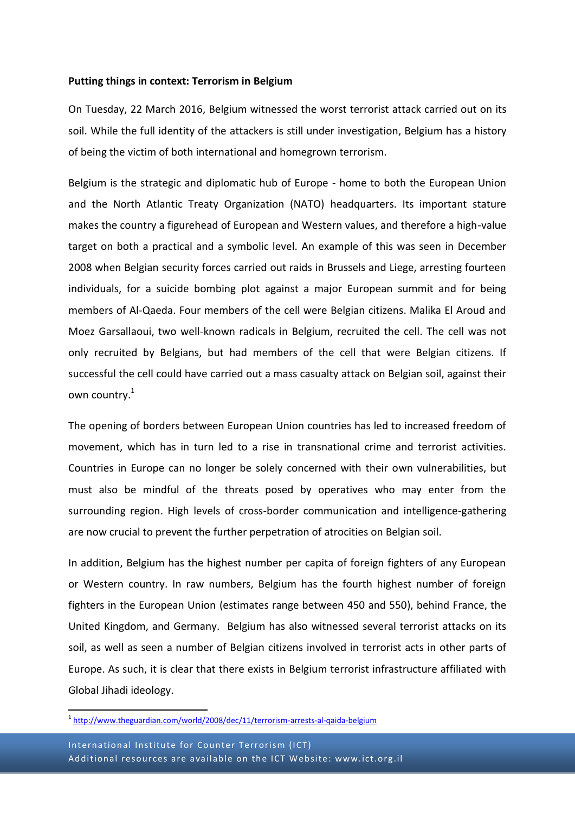#### **Putting things in context: Terrorism in Belgium**

On Tuesday, 22 March 2016, Belgium witnessed the worst terrorist attack carried out on its soil. While the full identity of the attackers is still under investigation, Belgium has a history of being the victim of both international and homegrown terrorism.

Belgium is the strategic and diplomatic hub of Europe - home to both the European Union and the North Atlantic Treaty Organization (NATO) headquarters. Its important stature makes the country a figurehead of European and Western values, and therefore a high-value target on both a practical and a symbolic level. An example of this was seen in December 2008 when Belgian security forces carried out raids in Brussels and Liege, arresting fourteen individuals, for a suicide bombing plot against a major European summit and for being members of Al-Qaeda. Four members of the cell were Belgian citizens. Malika El Aroud and Moez Garsallaoui, two well-known radicals in Belgium, recruited the cell. The cell was not only recruited by Belgians, but had members of the cell that were Belgian citizens. If successful the cell could have carried out a mass casualty attack on Belgian soil, against their own country. 1

The opening of borders between European Union countries has led to increased freedom of movement, which has in turn led to a rise in transnational crime and terrorist activities. Countries in Europe can no longer be solely concerned with their own vulnerabilities, but must also be mindful of the threats posed by operatives who may enter from the surrounding region. High levels of cross-border communication and intelligence-gathering are now crucial to prevent the further perpetration of atrocities on Belgian soil.

In addition, Belgium has the highest number per capita of foreign fighters of any European or Western country. In raw numbers, Belgium has the fourth highest number of foreign fighters in the European Union (estimates range between 450 and 550), behind France, the United Kingdom, and Germany. Belgium has also witnessed several terrorist attacks on its soil, as well as seen a number of Belgian citizens involved in terrorist acts in other parts of Europe. As such, it is clear that there exists in Belgium terrorist infrastructure affiliated with Global Jihadi ideology.

\_<br><sup>1</sup> <http://www.theguardian.com/world/2008/dec/11/terrorism-arrests-al-qaida-belgium>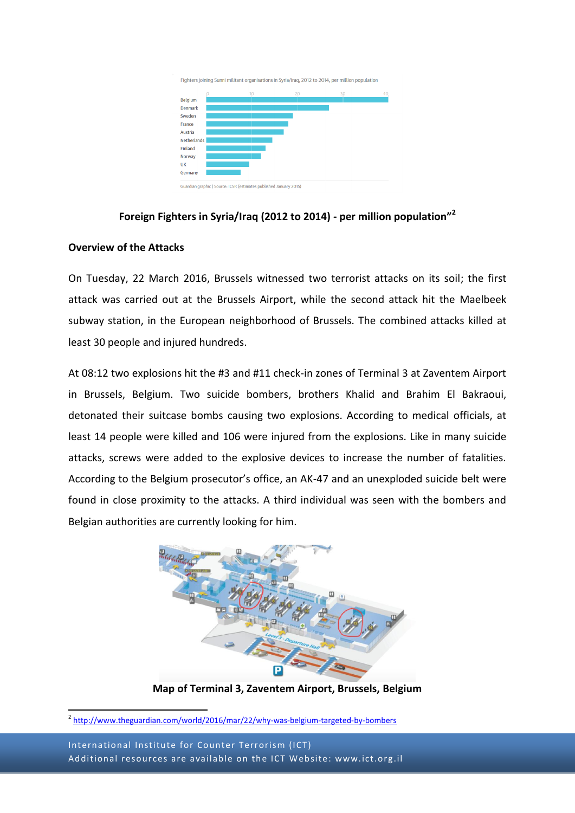

# **Foreign Fighters in Syria/Iraq (2012 to 2014) - per million population"<sup>2</sup>**

#### **Overview of the Attacks**

On Tuesday, 22 March 2016, Brussels witnessed two terrorist attacks on its soil; the first attack was carried out at the Brussels Airport, while the second attack hit the Maelbeek subway station, in the European neighborhood of Brussels. The combined attacks killed at least 30 people and injured hundreds.

At 08:12 two explosions hit the #3 and #11 check-in zones of Terminal 3 at Zaventem Airport in Brussels, Belgium. Two suicide bombers, brothers Khalid and Brahim El Bakraoui, detonated their suitcase bombs causing two explosions. According to medical officials, at least 14 people were killed and 106 were injured from the explosions. Like in many suicide attacks, screws were added to the explosive devices to increase the number of fatalities. According to the Belgium prosecutor's office, an AK-47 and an unexploded suicide belt were found in close proximity to the attacks. A third individual was seen with the bombers and Belgian authorities are currently looking for him.



**Map of Terminal 3, Zaventem Airport, Brussels, Belgium**

International Institute for Counter Terrorism (ICT) Additional resources are available on the ICT Website: www.ict.org.il

\_<br><sup>2</sup> <http://www.theguardian.com/world/2016/mar/22/why-was-belgium-targeted-by-bombers>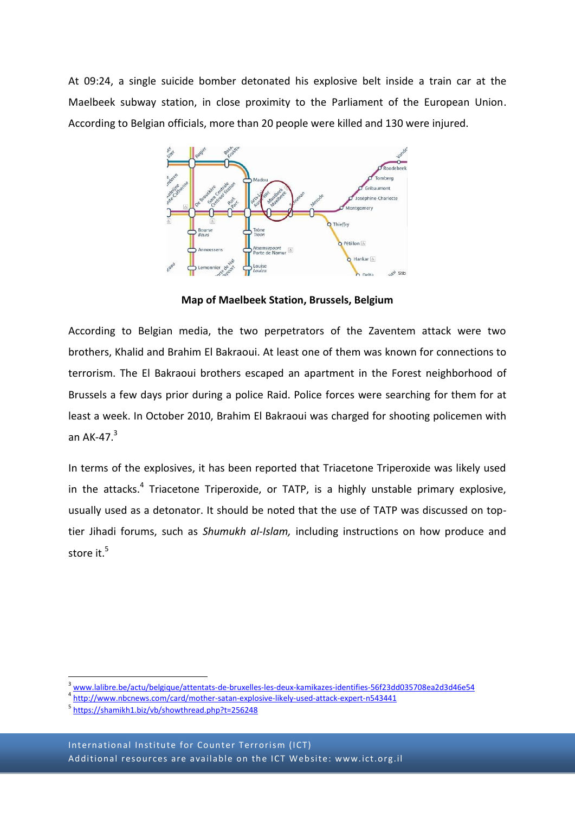At 09:24, a single suicide bomber detonated his explosive belt inside a train car at the Maelbeek subway station, in close proximity to the Parliament of the European Union. According to Belgian officials, more than 20 people were killed and 130 were injured.



**Map of Maelbeek Station, Brussels, Belgium**

According to Belgian media, the two perpetrators of the Zaventem attack were two brothers, Khalid and Brahim El Bakraoui. At least one of them was known for connections to terrorism. The El Bakraoui brothers escaped an apartment in the Forest neighborhood of Brussels a few days prior during a police Raid. Police forces were searching for them for at least a week. In October 2010, Brahim El Bakraoui was charged for shooting policemen with an AK-47. $3$ 

In terms of the explosives, it has been reported that Triacetone Triperoxide was likely used in the attacks.<sup>4</sup> Triacetone Triperoxide, or TATP, is a highly unstable primary explosive, usually used as a detonator. It should be noted that the use of TATP was discussed on toptier Jihadi forums, such as *Shumukh al-Islam,* including instructions on how produce and store it.<sup>5</sup>

**.** 

 $^3$  [www.lalibre.be/actu/belgique/attentats-de-bruxelles-les-deux-kamikazes-identifies-56f23dd035708ea2d3d46e54](http://www.lalibre.be/actu/belgique/attentats-de-bruxelles-les-deux-kamikazes-identifies-56f23dd035708ea2d3d46e54)

<sup>4</sup> <http://www.nbcnews.com/card/mother-satan-explosive-likely-used-attack-expert-n543441>

<sup>5</sup> <https://shamikh1.biz/vb/showthread.php?t=256248>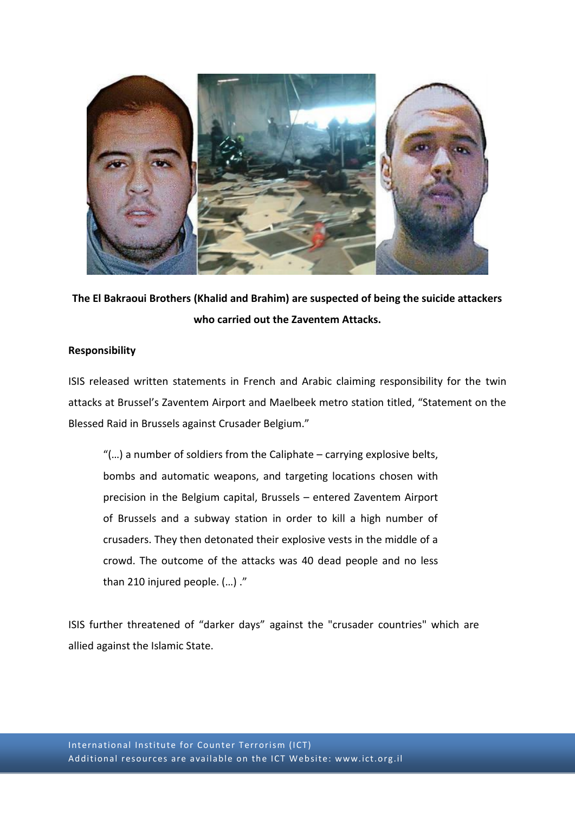

**The El Bakraoui Brothers (Khalid and Brahim) are suspected of being the suicide attackers who carried out the Zaventem Attacks.**

# **Responsibility**

ISIS released written statements in French and Arabic claiming responsibility for the twin attacks at Brussel's Zaventem Airport and Maelbeek metro station titled, "Statement on the Blessed Raid in Brussels against Crusader Belgium."

"(…) a number of soldiers from the Caliphate – carrying explosive belts, bombs and automatic weapons, and targeting locations chosen with precision in the Belgium capital, Brussels – entered Zaventem Airport of Brussels and a subway station in order to kill a high number of crusaders. They then detonated their explosive vests in the middle of a crowd. The outcome of the attacks was 40 dead people and no less than 210 injured people. (…) ."

ISIS further threatened of "darker days" against the "crusader countries" which are allied against the Islamic State.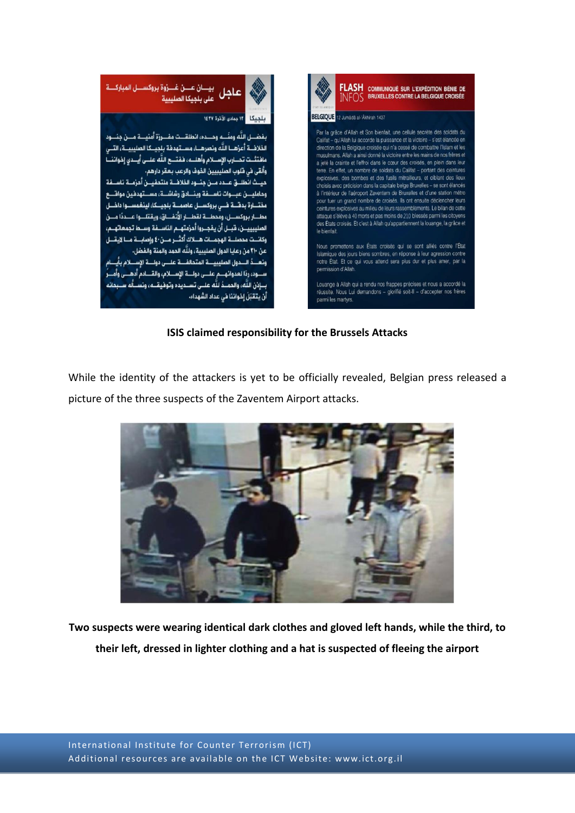

**ISIS claimed responsibility for the Brussels Attacks**

While the identity of the attackers is yet to be officially revealed, Belgian press released a picture of the three suspects of the Zaventem Airport attacks.



**Two suspects were wearing identical dark clothes and gloved left hands, while the third, to their left, dressed in lighter clothing and a hat is suspected of fleeing the airport**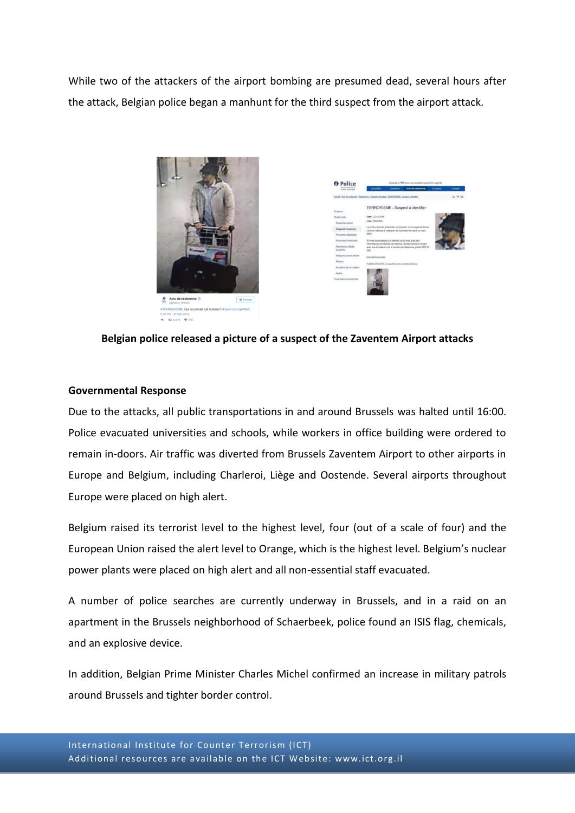While two of the attackers of the airport bombing are presumed dead, several hours after the attack, Belgian police began a manhunt for the third suspect from the airport attack.





**Belgian police released a picture of a suspect of the Zaventem Airport attacks**

#### **Governmental Response**

Due to the attacks, all public transportations in and around Brussels was halted until 16:00. Police evacuated universities and schools, while workers in office building were ordered to remain in-doors. Air traffic was diverted from Brussels Zaventem Airport to other airports in Europe and Belgium, including Charleroi, Liège and Oostende. Several airports throughout Europe were placed on high alert.

Belgium raised its terrorist level to the highest level, four (out of a scale of four) and the European Union raised the alert level to Orange, which is the highest level. Belgium's nuclear power plants were placed on high alert and all non-essential staff evacuated.

A number of police searches are currently underway in Brussels, and in a raid on an apartment in the Brussels neighborhood of Schaerbeek, police found an ISIS flag, chemicals, and an explosive device.

In addition, Belgian Prime Minister Charles Michel confirmed an increase in military patrols around Brussels and tighter border control.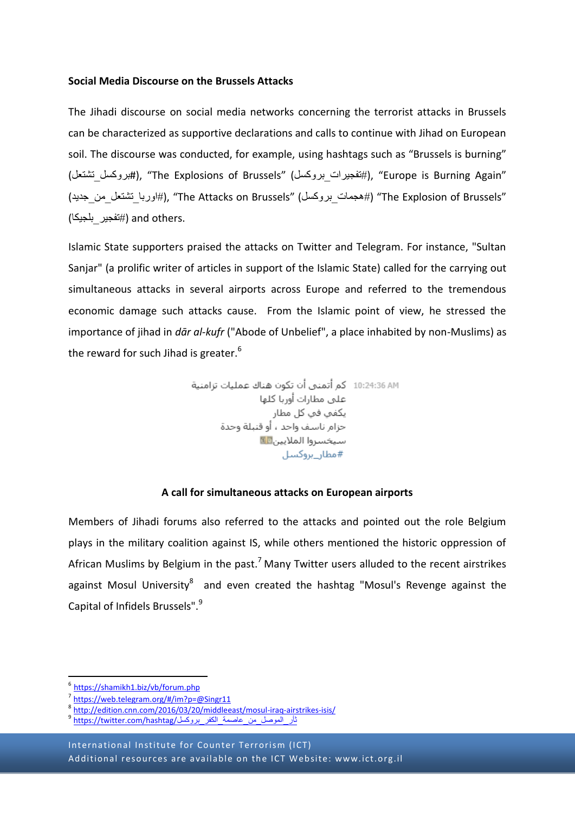#### **Social Media Discourse on the Brussels Attacks**

The Jihadi discourse on social media networks concerning the terrorist attacks in Brussels can be characterized as supportive declarations and calls to continue with Jihad on European soil. The discourse was conducted, for example, using hashtags such as "Brussels is burning" (تشتعل\_بروكسل#(," The Explosions of Brussels" (بروكسل\_تفجيرات#(," Europe is Burning Again" (#اوربا تشتعل من جديد), "The Attacks on Brussels" (بهوديا تشتعل من جديد) (+اوروبا تشتعل من جديد) .others and) #تفجير\_بلجيكا)

Islamic State supporters praised the attacks on Twitter and Telegram. For instance, "Sultan Sanjar" (a prolific writer of articles in support of the Islamic State) called for the carrying out simultaneous attacks in several airports across Europe and referred to the tremendous economic damage such attacks cause. From the Islamic point of view, he stressed the importance of jihad in *dār al-kufr* ("Abode of Unbelief", a place inhabited by non-Muslims) as the reward for such Jihad is greater.<sup>6</sup>

> 10:24:36 AM كم أتمنى أن تكون هناك عمليات تزامنية على مطارات أوربا كلها سيخسروا الملايين<mark> ال</mark>ك #مطار\_بروكسل

# **A call for simultaneous attacks on European airports**

Members of Jihadi forums also referred to the attacks and pointed out the role Belgium plays in the military coalition against IS, while others mentioned the historic oppression of African Muslims by Belgium in the past.<sup>7</sup> Many Twitter users alluded to the recent airstrikes against Mosul University<sup>8</sup> and even created the hashtag "Mosul's Revenge against the Capital of Infidels Brussels".<sup>9</sup>

**.** 

International Institute for Counter Terrorism (ICT) Additional resources are available on the ICT Website: www.ict.org.il

[<sup>6</sup>](https://shamikh1.biz/vb/forum.php) <https://shamikh1.biz/vb/forum.php>

<sup>&</sup>lt;sup>[7](https://web.telegram.org/#/im?p=@Singr11)</sup> <https://web.telegram.org/#/im?p=@Singr11>

<sup>&</sup>lt;sup>[8](http://edition.cnn.com/2016/03/20/middleeast/mosul-iraq-airstrikes-isis/)</sup> <http://edition.cnn.com/2016/03/20/middleeast/mosul-iraq-airstrikes-isis/>

ثأر\_الموصل\_من\_عاصمة\_الكفر\_بروكسل/https://twitter.com/hashtag/ <sup>[9](https://twitter.com/hashtag/ثأر_الموصل_من_عاصمة_الكفر_بروكسل)</sup>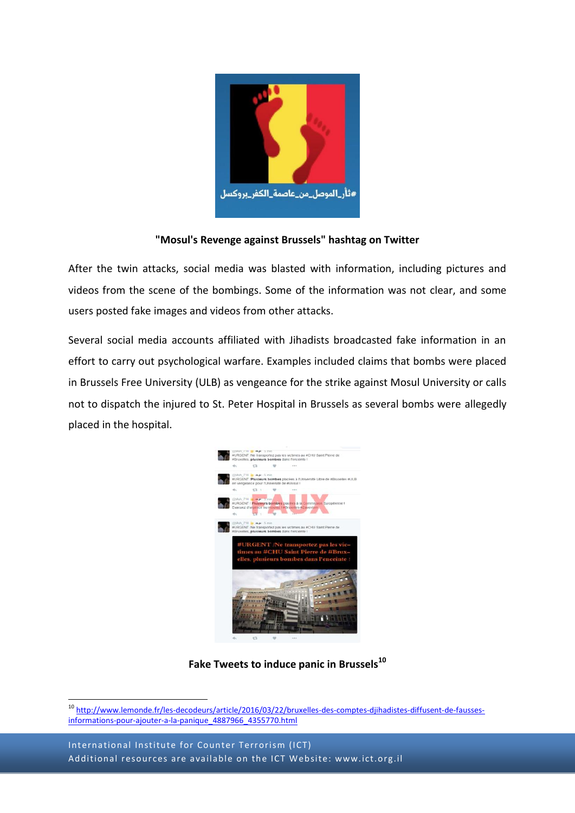

# **"Mosul's Revenge against Brussels" hashtag on Twitter**

After the twin attacks, social media was blasted with information, including pictures and videos from the scene of the bombings. Some of the information was not clear, and some users posted fake images and videos from other attacks.

Several social media accounts affiliated with Jihadists broadcasted fake information in an effort to carry out psychological warfare. Examples included claims that bombs were placed in Brussels Free University (ULB) as vengeance for the strike against Mosul University or calls not to dispatch the injured to St. Peter Hospital in Brussels as several bombs were allegedly placed in the hospital.



**Fake Tweets to induce panic in Brussels<sup>10</sup>**

**<sup>.</sup>** <sup>10</sup> [http://www.lemonde.fr/les-decodeurs/article/2016/03/22/bruxelles-des-comptes-djihadistes-diffusent-de-fausses](http://www.lemonde.fr/les-decodeurs/article/2016/03/22/bruxelles-des-comptes-djihadistes-diffusent-de-fausses-informations-pour-ajouter-a-la-panique_4887966_4355770.html)[informations-pour-ajouter-a-la-panique\\_4887966\\_4355770.html](http://www.lemonde.fr/les-decodeurs/article/2016/03/22/bruxelles-des-comptes-djihadistes-diffusent-de-fausses-informations-pour-ajouter-a-la-panique_4887966_4355770.html)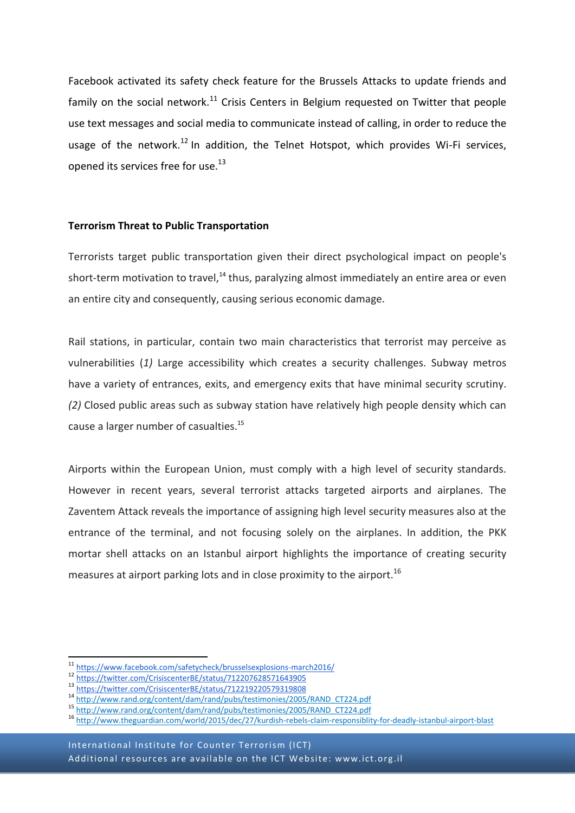Facebook activated its safety check feature for the Brussels Attacks to update friends and family on the social network.<sup>11</sup> Crisis Centers in Belgium requested on Twitter that people use text messages and social media to communicate instead of calling, in order to reduce the usage of the network.<sup>12</sup> In addition, the Telnet Hotspot, which provides Wi-Fi services, opened its services free for use.<sup>13</sup>

#### **Terrorism Threat to Public Transportation**

Terrorists target public transportation given their direct psychological impact on people's short-term motivation to travel,<sup>14</sup> thus, paralyzing almost immediately an entire area or even an entire city and consequently, causing serious economic damage.

Rail stations, in particular, contain two main characteristics that terrorist may perceive as vulnerabilities (*1)* Large accessibility which creates a security challenges. Subway metros have a variety of entrances, exits, and emergency exits that have minimal security scrutiny. *(2)* Closed public areas such as subway station have relatively high people density which can cause a larger number of casualties.<sup>15</sup>

Airports within the European Union, must comply with a high level of security standards. However in recent years, several terrorist attacks targeted airports and airplanes. The Zaventem Attack reveals the importance of assigning high level security measures also at the entrance of the terminal, and not focusing solely on the airplanes. In addition, the PKK mortar shell attacks on an Istanbul airport highlights the importance of creating security measures at airport parking lots and in close proximity to the airport.<sup>16</sup>

**.** 

<sup>&</sup>lt;sup>[1](https://www.facebook.com/safetycheck/brusselsexplosions-march2016/)1</sup> <https://www.facebook.com/safetycheck/brusselsexplosions-march2016/>

<sup>1</sup>[2](https://twitter.com/CrisiscenterBE/status/712207628571643905) <https://twitter.com/CrisiscenterBE/status/712207628571643905>

<sup>1</sup>[3](https://twitter.com/CrisiscenterBE/status/712219220579319808) <https://twitter.com/CrisiscenterBE/status/712219220579319808>

<sup>14</sup> [http://www.rand.org/content/dam/rand/pubs/testimonies/2005/RAND\\_CT224.pdf](http://www.rand.org/content/dam/rand/pubs/testimonies/2005/RAND_CT224.pdf)

<sup>15</sup> [http://www.rand.org/content/dam/rand/pubs/testimonies/2005/RAND\\_CT224.pdf](http://www.rand.org/content/dam/rand/pubs/testimonies/2005/RAND_CT224.pdf)

<sup>16</sup> <http://www.theguardian.com/world/2015/dec/27/kurdish-rebels-claim-responsiblity-for-deadly-istanbul-airport-blast>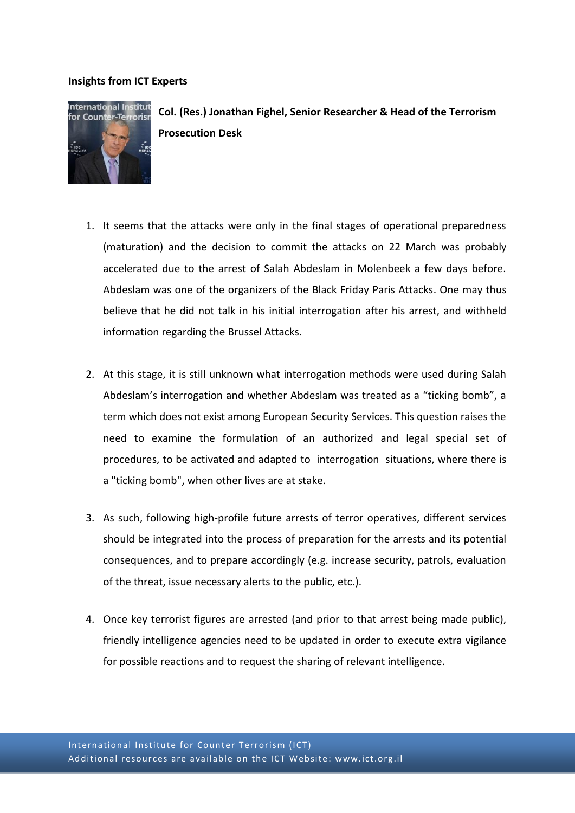# **Insights from ICT Experts**



**Col. (Res.) Jonathan Fighel, Senior Researcher & Head of the Terrorism Prosecution Desk**

- 1. It seems that the attacks were only in the final stages of operational preparedness (maturation) and the decision to commit the attacks on 22 March was probably accelerated due to the arrest of Salah Abdeslam in Molenbeek a few days before. Abdeslam was one of the organizers of the Black Friday Paris Attacks. One may thus believe that he did not talk in his initial interrogation after his arrest, and withheld information regarding the Brussel Attacks.
- 2. At this stage, it is still unknown what interrogation methods were used during Salah Abdeslam's interrogation and whether Abdeslam was treated as a "ticking bomb", a term which does not exist among European Security Services. This question raises the need to examine the formulation of an authorized and legal special set of procedures, to be activated and adapted to interrogation situations, where there is a "ticking bomb", when other lives are at stake.
- 3. As such, following high-profile future arrests of terror operatives, different services should be integrated into the process of preparation for the arrests and its potential consequences, and to prepare accordingly (e.g. increase security, patrols, evaluation of the threat, issue necessary alerts to the public, etc.).
- 4. Once key terrorist figures are arrested (and prior to that arrest being made public), friendly intelligence agencies need to be updated in order to execute extra vigilance for possible reactions and to request the sharing of relevant intelligence.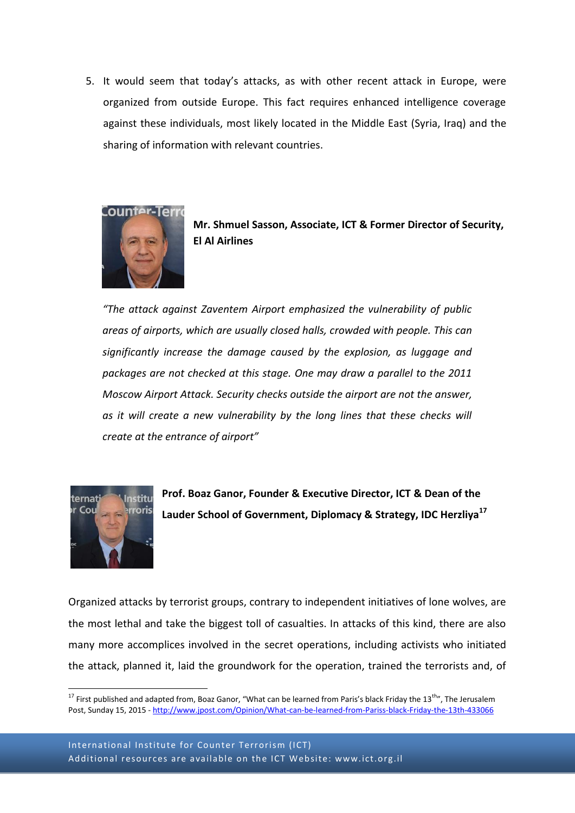5. It would seem that today's attacks, as with other recent attack in Europe, were organized from outside Europe. This fact requires enhanced intelligence coverage against these individuals, most likely located in the Middle East (Syria, Iraq) and the sharing of information with relevant countries.





*"The attack against Zaventem Airport emphasized the vulnerability of public areas of airports, which are usually closed halls, crowded with people. This can significantly increase the damage caused by the explosion, as luggage and packages are not checked at this stage. One may draw a parallel to the 2011 Moscow Airport Attack. Security checks outside the airport are not the answer, as it will create a new vulnerability by the long lines that these checks will create at the entrance of airport"*



**.** 

**Prof. Boaz Ganor, Founder & Executive Director, ICT & Dean of the Lauder School of Government, Diplomacy & Strategy, IDC Herzliya<sup>17</sup>**

Organized attacks by terrorist groups, contrary to independent initiatives of lone wolves, are the most lethal and take the biggest toll of casualties. In attacks of this kind, there are also many more accomplices involved in the secret operations, including activists who initiated the attack, planned it, laid the groundwork for the operation, trained the terrorists and, of

<sup>&</sup>lt;sup>17</sup> First published and adapted from, Boaz Ganor, "What can be learned from Paris's black Friday the 13<sup>th</sup>", The Jerusalem Post, Sunday 15, 2015 - <http://www.jpost.com/Opinion/What-can-be-learned-from-Pariss-black-Friday-the-13th-433066>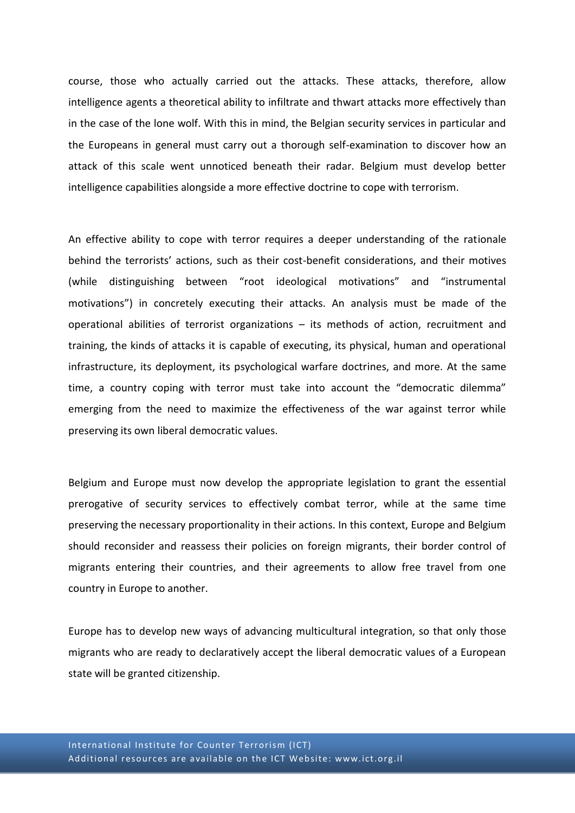course, those who actually carried out the attacks. These attacks, therefore, allow intelligence agents a theoretical ability to infiltrate and thwart attacks more effectively than in the case of the lone wolf. With this in mind, the Belgian security services in particular and the Europeans in general must carry out a thorough self-examination to discover how an attack of this scale went unnoticed beneath their radar. Belgium must develop better intelligence capabilities alongside a more effective doctrine to cope with terrorism.

An effective ability to cope with terror requires a deeper understanding of the rationale behind the terrorists' actions, such as their cost-benefit considerations, and their motives (while distinguishing between "root ideological motivations" and "instrumental motivations") in concretely executing their attacks. An analysis must be made of the operational abilities of terrorist organizations – its methods of action, recruitment and training, the kinds of attacks it is capable of executing, its physical, human and operational infrastructure, its deployment, its psychological warfare doctrines, and more. At the same time, a country coping with terror must take into account the "democratic dilemma" emerging from the need to maximize the effectiveness of the war against terror while preserving its own liberal democratic values.

Belgium and Europe must now develop the appropriate legislation to grant the essential prerogative of security services to effectively combat terror, while at the same time preserving the necessary proportionality in their actions. In this context, Europe and Belgium should reconsider and reassess their policies on foreign migrants, their border control of migrants entering their countries, and their agreements to allow free travel from one country in Europe to another.

Europe has to develop new ways of advancing multicultural integration, so that only those migrants who are ready to declaratively accept the liberal democratic values of a European state will be granted citizenship.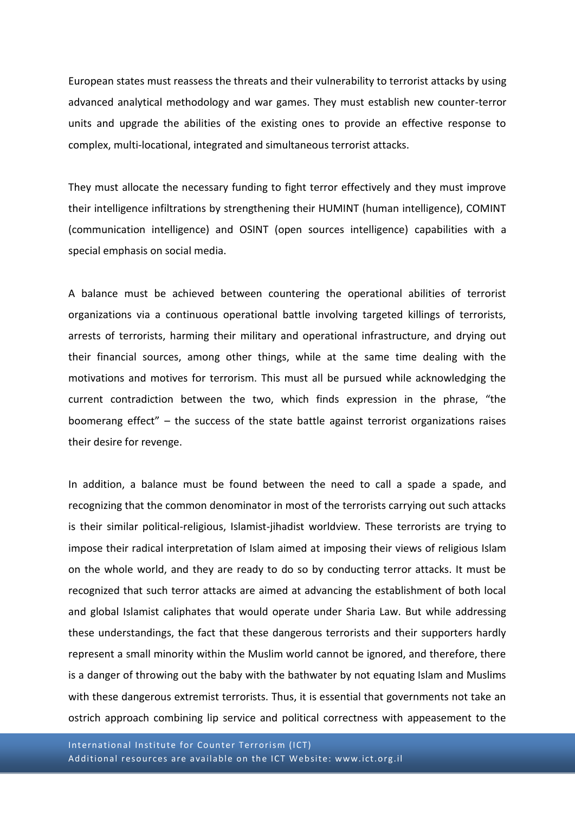European states must reassess the threats and their vulnerability to terrorist attacks by using advanced analytical methodology and war games. They must establish new counter-terror units and upgrade the abilities of the existing ones to provide an effective response to complex, multi-locational, integrated and simultaneous terrorist attacks.

They must allocate the necessary funding to fight terror effectively and they must improve their intelligence infiltrations by strengthening their HUMINT (human intelligence), COMINT (communication intelligence) and OSINT (open sources intelligence) capabilities with a special emphasis on social media.

A balance must be achieved between countering the operational abilities of terrorist organizations via a continuous operational battle involving targeted killings of terrorists, arrests of terrorists, harming their military and operational infrastructure, and drying out their financial sources, among other things, while at the same time dealing with the motivations and motives for terrorism. This must all be pursued while acknowledging the current contradiction between the two, which finds expression in the phrase, "the boomerang effect" – the success of the state battle against terrorist organizations raises their desire for revenge.

In addition, a balance must be found between the need to call a spade a spade, and recognizing that the common denominator in most of the terrorists carrying out such attacks is their similar political-religious, Islamist-jihadist worldview. These terrorists are trying to impose their radical interpretation of Islam aimed at imposing their views of religious Islam on the whole world, and they are ready to do so by conducting terror attacks. It must be recognized that such terror attacks are aimed at advancing the establishment of both local and global Islamist caliphates that would operate under Sharia Law. But while addressing these understandings, the fact that these dangerous terrorists and their supporters hardly represent a small minority within the Muslim world cannot be ignored, and therefore, there is a danger of throwing out the baby with the bathwater by not equating Islam and Muslims with these dangerous extremist terrorists. Thus, it is essential that governments not take an ostrich approach combining lip service and political correctness with appeasement to the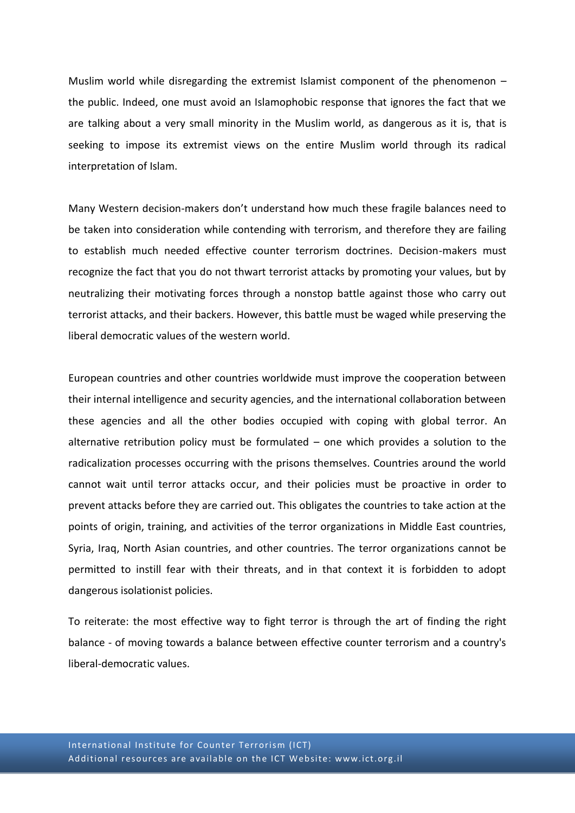Muslim world while disregarding the extremist Islamist component of the phenomenon  $$ the public. Indeed, one must avoid an Islamophobic response that ignores the fact that we are talking about a very small minority in the Muslim world, as dangerous as it is, that is seeking to impose its extremist views on the entire Muslim world through its radical interpretation of Islam.

Many Western decision-makers don't understand how much these fragile balances need to be taken into consideration while contending with terrorism, and therefore they are failing to establish much needed effective counter terrorism doctrines. Decision-makers must recognize the fact that you do not thwart terrorist attacks by promoting your values, but by neutralizing their motivating forces through a nonstop battle against those who carry out terrorist attacks, and their backers. However, this battle must be waged while preserving the liberal democratic values of the western world.

European countries and other countries worldwide must improve the cooperation between their internal intelligence and security agencies, and the international collaboration between these agencies and all the other bodies occupied with coping with global terror. An alternative retribution policy must be formulated – one which provides a solution to the radicalization processes occurring with the prisons themselves. Countries around the world cannot wait until terror attacks occur, and their policies must be proactive in order to prevent attacks before they are carried out. This obligates the countries to take action at the points of origin, training, and activities of the terror organizations in Middle East countries, Syria, Iraq, North Asian countries, and other countries. The terror organizations cannot be permitted to instill fear with their threats, and in that context it is forbidden to adopt dangerous isolationist policies.

To reiterate: the most effective way to fight terror is through the art of finding the right balance - of moving towards a balance between effective counter terrorism and a country's liberal-democratic values.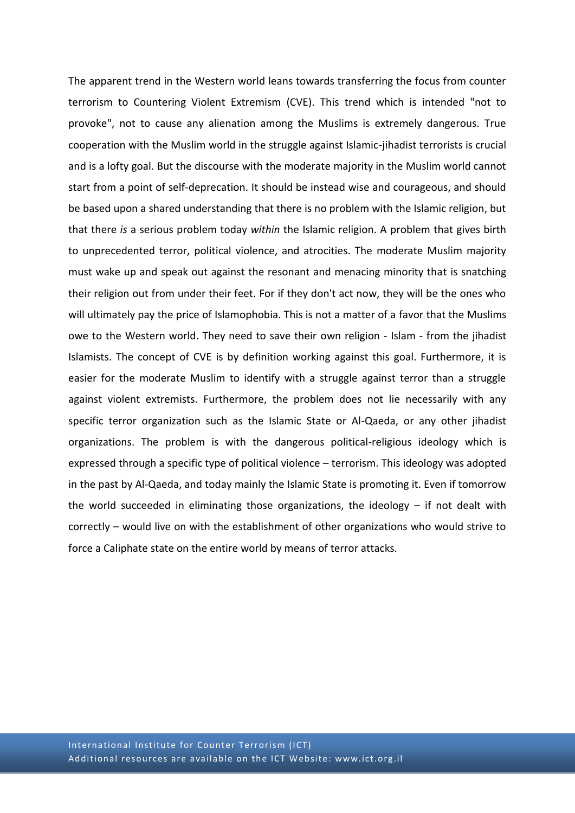The apparent trend in the Western world leans towards transferring the focus from counter terrorism to Countering Violent Extremism (CVE). This trend which is intended "not to provoke", not to cause any alienation among the Muslims is extremely dangerous. True cooperation with the Muslim world in the struggle against Islamic-jihadist terrorists is crucial and is a lofty goal. But the discourse with the moderate majority in the Muslim world cannot start from a point of self-deprecation. It should be instead wise and courageous, and should be based upon a shared understanding that there is no problem with the Islamic religion, but that there *is* a serious problem today *within* the Islamic religion. A problem that gives birth to unprecedented terror, political violence, and atrocities. The moderate Muslim majority must wake up and speak out against the resonant and menacing minority that is snatching their religion out from under their feet. For if they don't act now, they will be the ones who will ultimately pay the price of Islamophobia. This is not a matter of a favor that the Muslims owe to the Western world. They need to save their own religion - Islam - from the jihadist Islamists. The concept of CVE is by definition working against this goal. Furthermore, it is easier for the moderate Muslim to identify with a struggle against terror than a struggle against violent extremists. Furthermore, the problem does not lie necessarily with any specific terror organization such as the Islamic State or Al-Qaeda, or any other jihadist organizations. The problem is with the dangerous political-religious ideology which is expressed through a specific type of political violence – terrorism. This ideology was adopted in the past by Al-Qaeda, and today mainly the Islamic State is promoting it. Even if tomorrow the world succeeded in eliminating those organizations, the ideology – if not dealt with correctly – would live on with the establishment of other organizations who would strive to force a Caliphate state on the entire world by means of terror attacks.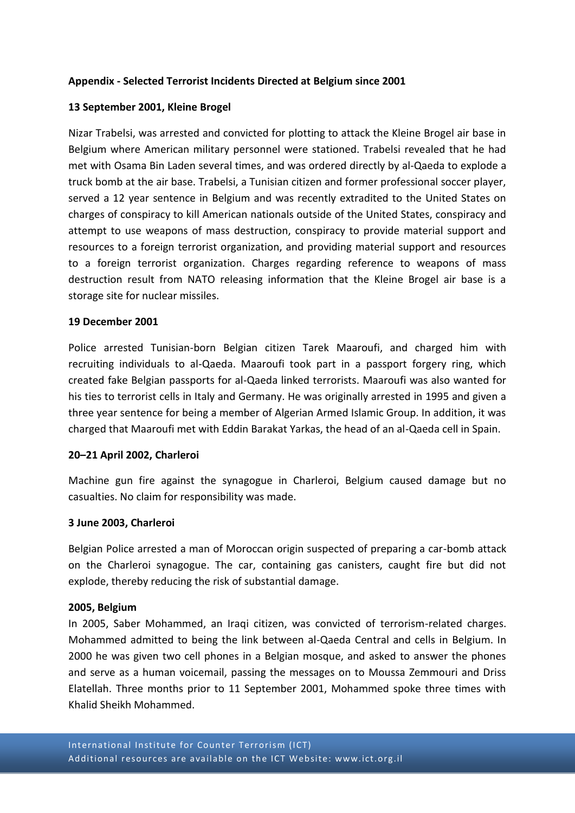# **Appendix - Selected Terrorist Incidents Directed at Belgium since 2001**

# **13 September 2001, Kleine Brogel**

Nizar Trabelsi, was arrested and convicted for plotting to attack the Kleine Brogel air base in Belgium where American military personnel were stationed. Trabelsi revealed that he had met with Osama Bin Laden several times, and was ordered directly by al-Qaeda to explode a truck bomb at the air base. Trabelsi, a Tunisian citizen and former professional soccer player, served a 12 year sentence in Belgium and was recently extradited to the United States on charges of conspiracy to kill American nationals outside of the United States, conspiracy and attempt to use weapons of mass destruction, conspiracy to provide material support and resources to a foreign terrorist organization, and providing material support and resources to a foreign terrorist organization. Charges regarding reference to weapons of mass destruction result from NATO releasing information that the Kleine Brogel air base is a storage site for nuclear missiles.

# **19 December 2001**

Police arrested Tunisian-born Belgian citizen Tarek Maaroufi, and charged him with recruiting individuals to al-Qaeda. Maaroufi took part in a passport forgery ring, which created fake Belgian passports for al-Qaeda linked terrorists. Maaroufi was also wanted for his ties to terrorist cells in Italy and Germany. He was originally arrested in 1995 and given a three year sentence for being a member of Algerian Armed Islamic Group. In addition, it was charged that Maaroufi met with Eddin Barakat Yarkas, the head of an al-Qaeda cell in Spain.

# **20–21 April 2002, Charleroi**

Machine gun fire against the synagogue in Charleroi, Belgium caused damage but no casualties. No claim for responsibility was made.

# **3 June 2003, Charleroi**

Belgian Police arrested a man of Moroccan origin suspected of preparing a car-bomb attack on the Charleroi synagogue. The car, containing gas canisters, caught fire but did not explode, thereby reducing the risk of substantial damage.

# **2005, Belgium**

In 2005, Saber Mohammed, an Iraqi citizen, was convicted of terrorism-related charges. Mohammed admitted to being the link between al-Qaeda Central and cells in Belgium. In 2000 he was given two cell phones in a Belgian mosque, and asked to answer the phones and serve as a human voicemail, passing the messages on to Moussa Zemmouri and Driss Elatellah. Three months prior to 11 September 2001, Mohammed spoke three times with Khalid Sheikh Mohammed.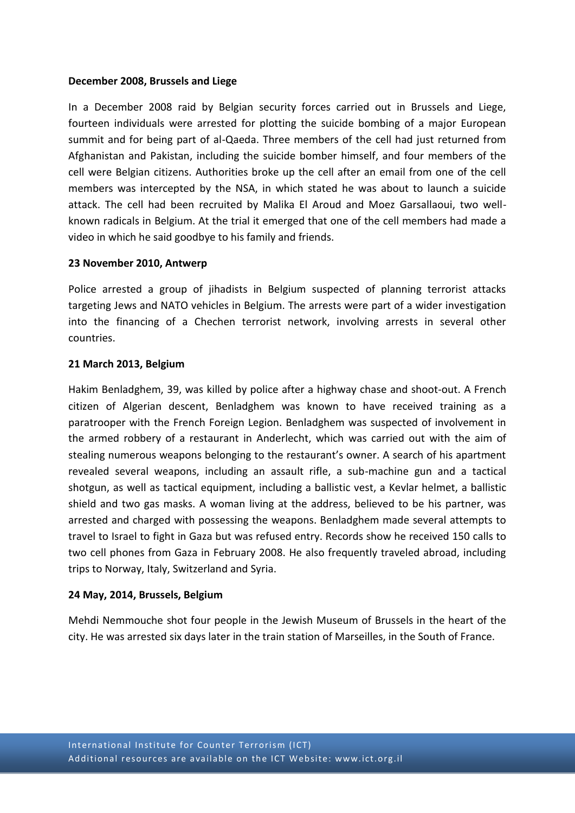#### **December 2008, Brussels and Liege**

In a December 2008 raid by Belgian security forces carried out in Brussels and Liege, fourteen individuals were arrested for plotting the suicide bombing of a major European summit and for being part of al-Qaeda. Three members of the cell had just returned from Afghanistan and Pakistan, including the suicide bomber himself, and four members of the cell were Belgian citizens. Authorities broke up the cell after an email from one of the cell members was intercepted by the NSA, in which stated he was about to launch a suicide attack. The cell had been recruited by Malika El Aroud and Moez Garsallaoui, two wellknown radicals in Belgium. At the trial it emerged that one of the cell members had made a video in which he said goodbye to his family and friends.

# **23 November 2010, Antwerp**

Police arrested a group of jihadists in Belgium suspected of planning terrorist attacks targeting Jews and NATO vehicles in Belgium. The arrests were part of a wider investigation into the financing of a Chechen terrorist network, involving arrests in several other countries.

# **21 March 2013, Belgium**

Hakim Benladghem, 39, was killed by police after a highway chase and shoot-out. A French citizen of Algerian descent, Benladghem was known to have received training as a paratrooper with the French Foreign Legion. Benladghem was suspected of involvement in the armed robbery of a restaurant in Anderlecht, which was carried out with the aim of stealing numerous weapons belonging to the restaurant's owner. A search of his apartment revealed several weapons, including an assault rifle, a sub-machine gun and a tactical shotgun, as well as tactical equipment, including a ballistic vest, a Kevlar helmet, a ballistic shield and two gas masks. A woman living at the address, believed to be his partner, was arrested and charged with possessing the weapons. Benladghem made several attempts to travel to Israel to fight in Gaza but was refused entry. Records show he received 150 calls to two cell phones from Gaza in February 2008. He also frequently traveled abroad, including trips to Norway, Italy, Switzerland and Syria.

# **24 May, 2014, Brussels, Belgium**

Mehdi Nemmouche shot four people in the Jewish Museum of Brussels in the heart of the city. He was arrested six days later in the train station of Marseilles, in the South of France.